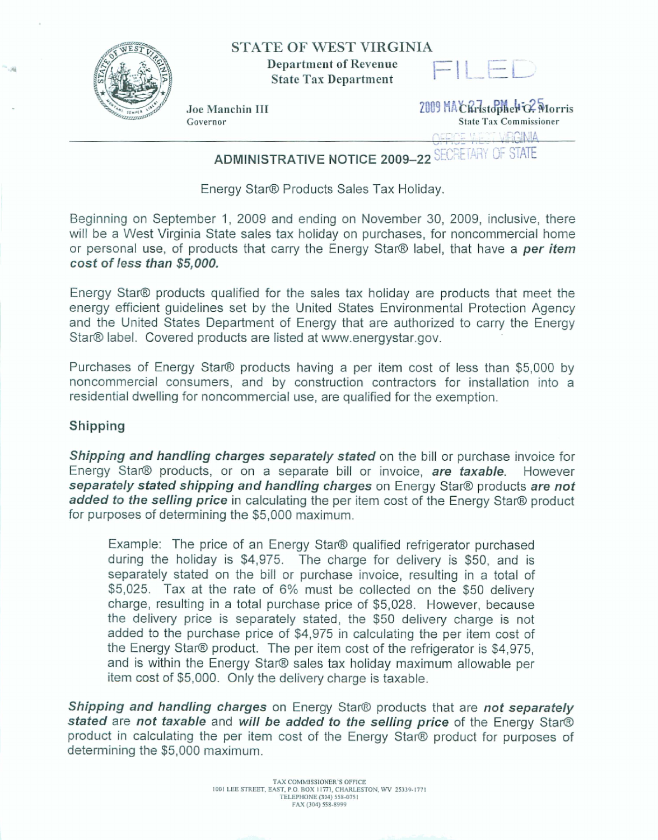

## **STATE OF WEST VIRGINIA**



**Joe Manchin III** *Lease Conserverse Light* **Conserverse Conserverse Conserverse Conserverse Conserverse Conservers<br>
<b>State Tax Commissioner**  $State Tax$  **Commissioner** Governor<br>
Governor<br>
CFFICE WEST VRGINIA

## **ADMINISTRATIVE NOTICE 2009-22 SECRETARY OF STATE**

Energy **Star@ Products Sales Tax Holiday.** 

**Beginning on September 1, 2009 and ending on November 30, 2009, inclusive, there will be a West Virginia State sales tax holiday on purchases, for noncommercial home**  or **personal use, of** products **that cany the Energy Stam label,** that **have a per item cost of less than \$5,000.** 

Energy Star<sup>®</sup> products qualified for the sales tax holiday are products that meet the **energy** efficient **guidelines set by the United States Environmental Protection Agency and** the **United States Department of Energy that are authorized to** carry **the Energy**  Star@ **label. Covered products are listed at www.energystar.gov.** 

Purchases of Energy Star® products having a per item cost of less than \$5,000 by **noncommercial consumers, and by construction contractors for installation into a residential dwelling for noncommercial use,** are **qualified for the exemption.** 

## **Shipping**

**Shipping and handling charges separately stated on the bill or purchase invoice for** Energy Star<sup>®</sup> products, or on a separate bill or invoice, are taxable. However **separately stated shipping and handling charges on Energy Star® products are not added to the selling price** in calculating the per item cost of the Energy Star® product **for purposes of determining the \$5,000 maximum.** 

**Example: The price** of **an Energy** Star@ quaiified refrigerator **purchased during the holiday is \$4,975. The charge for delivery is \$50,** and **is separately stated on** the **bill or purchase invoice, resulting in a total of \$5,025. Tax at the rate of 6% must be collected on** the **\$50 delivery charge, resulting in a total purchase price of \$5,028.** However, **because the delivery price is separately stated, the \$50 delivery charge is not added to the purchase price of \$4,975 in calculating the per item cost** of **the Energy Star@ product. The** per **item cost of the refrigerator is \$4,975, and is within the Energy Stam sales tax holiday maximum** allowable **per item cost of \$5,000.** Only **the delivery charge is taxable.** 

**Shipping and handling charges** on Energy Star® products that are not separately **stated are not taxable and** *will* **be added to** *the* **selling price of the Energy Stam product in calculating the** per **item cost of the Energy Stam product for purposes of determining the \$5,000 maximum.**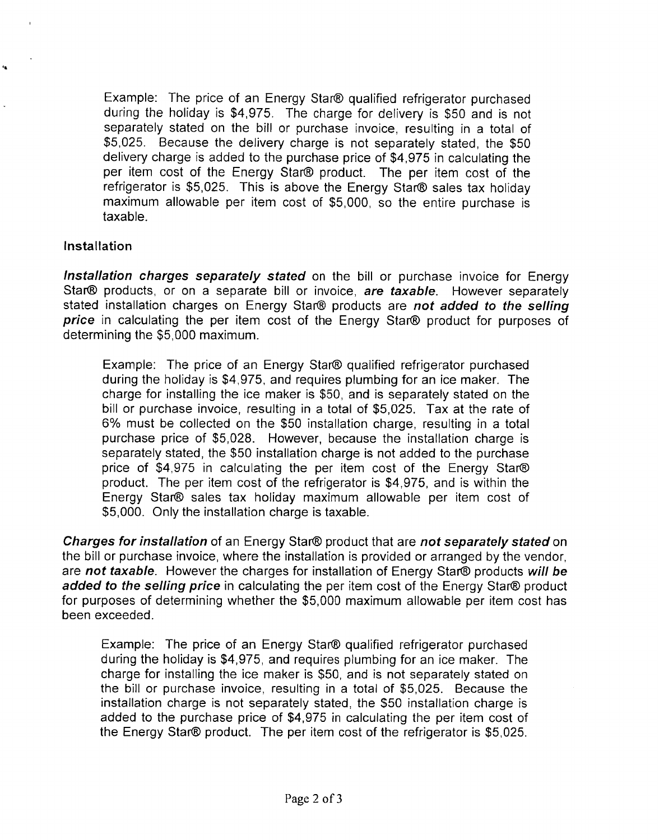Example: The price of an Energy Star@ qualified refrigerator purchased during the holiday is \$4,975. The charge for delivery is \$50 and is not separately stated on the bill or purchase invoice, resulting in a total of \$5,025. Because the delivery charge is not separately stated, the \$50 delivery charge is added to the purchase price of \$4,975 in calculating the per item cost of the Energy Star@ product. The per item cost of the refrigerator is \$5,025. This is above the Energy Star@ sales tax holiday maximum allowable per item cost of \$5,000, so the entire purchase is taxable.

## Installation

**lnstallation charges separately stated** on the bill or purchase invoice for Energy Star@ products, or on a separate bill or invoice, **are taxable.** However separately stated installation charges on Energy Star@ products are **not added to the selling price** in calculating the per item cost of the Energy Star@ product for purposes of determining the \$5,000 maximum.

Example: The price of an Energy Star@ qualified refrigerator purchased during the holiday is \$4,975, and requires plumbing for an ice maker. The charge for installing the ice maker is \$50, and is separately stated on the bill or purchase invoice, resulting in a total of \$5,025. Tax at the rate of 6% must be collected on the \$50 installation charge, resulting in a total purchase price of \$5,028. However, because the installation charge is separately stated, the \$50 installation charge is not added to the purchase price of \$4,975 in calculating the per item cost of the Energy Star@ product. The per item cost of the refrigerator is \$4,975, and is within the Energy Star@ sales tax holiday maximum allowable per item cost of \$5,000. Only the installation charge is taxable.

**Charges** for **installation** of an Energy Star@ product that are **not separately stated** on the bill or purchase invoice, where the installation is provided or arranged by the vendor, are **not taxable.** However the charges for installation of Energy Star@ products **will be**  added to the selling price in calculating the per item cost of the Energy Star® product for purposes of determining whether the \$5,000 maximum allowable per item cost has been exceeded.

Example: The price of an Energy Star® qualified refrigerator purchased during the holiday is \$4,975, and requires plumbing for an ice maker. The charge for installing the ice maker is \$50, and is not separately stated on the bill or purchase invoice, resulting in a total of \$5,025. Because the installation charge is not separately stated, the \$50 installation charge is added to the purchase price of \$4,975 in calculating the per item cost of the Energy Star@ product. The per item cost of the refrigerator is \$5,025.